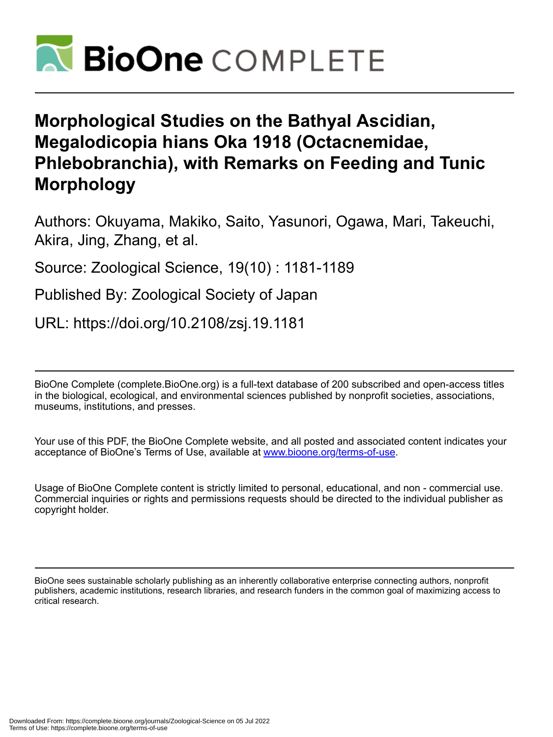

# **Morphological Studies on the Bathyal Ascidian, Megalodicopia hians Oka 1918 (Octacnemidae, Phlebobranchia), with Remarks on Feeding and Tunic Morphology**

Authors: Okuyama, Makiko, Saito, Yasunori, Ogawa, Mari, Takeuchi, Akira, Jing, Zhang, et al.

Source: Zoological Science, 19(10) : 1181-1189

Published By: Zoological Society of Japan

URL: https://doi.org/10.2108/zsj.19.1181

BioOne Complete (complete.BioOne.org) is a full-text database of 200 subscribed and open-access titles in the biological, ecological, and environmental sciences published by nonprofit societies, associations, museums, institutions, and presses.

Your use of this PDF, the BioOne Complete website, and all posted and associated content indicates your acceptance of BioOne's Terms of Use, available at www.bioone.org/terms-of-use.

Usage of BioOne Complete content is strictly limited to personal, educational, and non - commercial use. Commercial inquiries or rights and permissions requests should be directed to the individual publisher as copyright holder.

BioOne sees sustainable scholarly publishing as an inherently collaborative enterprise connecting authors, nonprofit publishers, academic institutions, research libraries, and research funders in the common goal of maximizing access to critical research.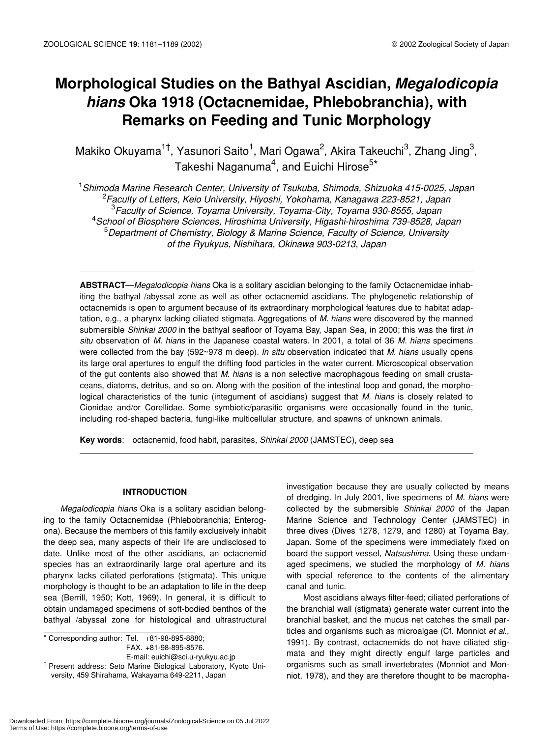# **Morphological Studies on the Bathyal Ascidian,** *Megalodicopia hians* **Oka 1918 (Octacnemidae, Phlebobranchia), with Remarks on Feeding and Tunic Morphology**

Makiko Okuyama<sup>1†</sup>, Yasunori Saito<sup>1</sup>, Mari Ogawa<sup>2</sup>, Akira Takeuchi<sup>3</sup>, Zhang Jing<sup>3</sup>, Takeshi Naganuma<sup>4</sup>, and Euichi Hirose<sup>5\*</sup>

 *Shimoda Marine Research Center, University of Tsukuba, Shimoda, Shizuoka 415-0025, Japan Faculty of Letters, Keio University, Hiyoshi, Yokohama, Kanagawa 223-8521, Japan Faculty of Science, Toyama University, Toyama-City, Toyama 930-8555, Japan School of Biosphere Sciences, Hiroshima University, Higashi-hiroshima 739-8528, Japan Department of Chemistry, Biology & Marine Science, Faculty of Science, University of the Ryukyus, Nishihara, Okinawa 903-0213, Japan*

**ABSTRACT**—*Megalodicopia hians* Oka is a solitary ascidian belonging to the family Octacnemidae inhabiting the bathyal /abyssal zone as well as other octacnemid ascidians. The phylogenetic relationship of octacnemids is open to argument because of its extraordinary morphological features due to habitat adaptation, e.g., a pharynx lacking ciliated stigmata. Aggregations of *M. hians* were discovered by the manned submersible *Shinkai 2000* in the bathyal seafloor of Toyama Bay, Japan Sea, in 2000; this was the first *in situ* observation of *M. hians* in the Japanese coastal waters. In 2001, a total of 36 *M. hians* specimens were collected from the bay (592~978 m deep). *In situ* observation indicated that *M. hians* usually opens its large oral apertures to engulf the drifting food particles in the water current. Microscopical observation of the gut contents also showed that *M. hians* is a non selective macrophagous feeding on small crustaceans, diatoms, detritus, and so on. Along with the position of the intestinal loop and gonad, the morphological characteristics of the tunic (integument of ascidians) suggest that *M. hians* is closely related to Cionidae and/or Corellidae. Some symbiotic/parasitic organisms were occasionally found in the tunic, including rod-shaped bacteria, fungi-like multicellular structure, and spawns of unknown animals.

**Key words**: octacnemid, food habit, parasites, *Shinkai 2000* (JAMSTEC), deep sea

# **INTRODUCTION**

*Megalodicopia hians* Oka is a solitary ascidian belonging to the family Octacnemidae (Phlebobranchia; Enterogona). Because the members of this family exclusively inhabit the deep sea, many aspects of their life are undisclosed to date. Unlike most of the other ascidians, an octacnemid species has an extraordinarily large oral aperture and its pharynx lacks ciliated perforations (stigmata). This unique morphology is thought to be an adaptation to life in the deep sea (Berrill, 1950; Kott, 1969). In general, it is difficult to obtain undamaged specimens of soft-bodied benthos of the bathyal /abyssal zone for histological and ultrastructural

 $\overline{\bullet}$  Corresponding author: Tel. +81-98-895-8880; FAX. +81-98-895-8576. E-mail: euichi@sci.u-ryukyu.ac.jp

<sup>†</sup> Present address: Seto Marine Biological Laboratory, Kyoto University, 459 Shirahama, Wakayama 649-2211, Japan

investigation because they are usually collected by means of dredging. In July 2001, live specimens of *M. hians* were collected by the submersible *Shinkai 2000* of the Japan Marine Science and Technology Center (JAMSTEC) in three dives (Dives 1278, 1279, and 1280) at Toyama Bay, Japan. Some of the specimens were immediately fixed on board the support vessel, *Natsushima*. Using these undamaged specimens, we studied the morphology of *M. hians* with special reference to the contents of the alimentary canal and tunic.

Most ascidians always filter-feed; ciliated perforations of the branchial wall (stigmata) generate water current into the branchial basket, and the mucus net catches the small particles and organisms such as microalgae (Cf. Monniot *et al*., 1991). By contrast, octacnemids do not have ciliated stigmata and they might directly engulf large particles and organisms such as small invertebrates (Monniot and Monniot, 1978), and they are therefore thought to be macropha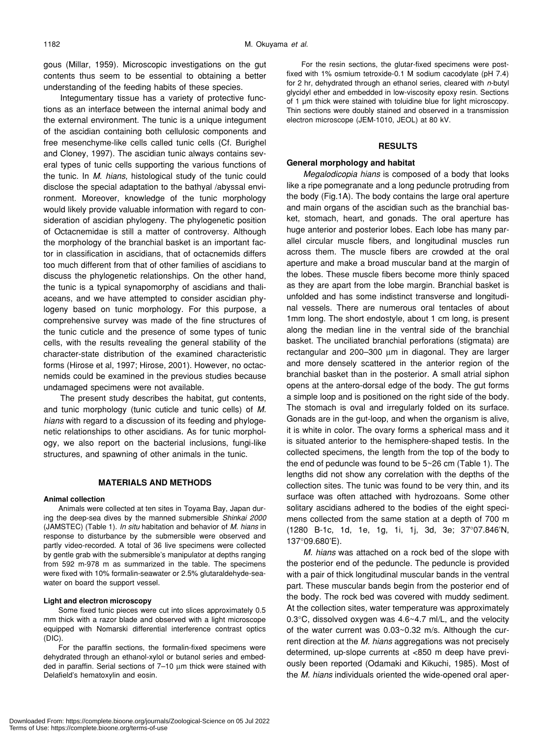gous (Millar, 1959). Microscopic investigations on the gut contents thus seem to be essential to obtaining a better understanding of the feeding habits of these species.

Integumentary tissue has a variety of protective functions as an interface between the internal animal body and the external environment. The tunic is a unique integument of the ascidian containing both cellulosic components and free mesenchyme-like cells called tunic cells (Cf. Burighel and Cloney, 1997). The ascidian tunic always contains several types of tunic cells supporting the various functions of the tunic. In *M. hians*, histological study of the tunic could disclose the special adaptation to the bathyal /abyssal environment. Moreover, knowledge of the tunic morphology would likely provide valuable information with regard to consideration of ascidian phylogeny. The phylogenetic position of Octacnemidae is still a matter of controversy. Although the morphology of the branchial basket is an important factor in classification in ascidians, that of octacnemids differs too much different from that of other families of ascidians to discuss the phylogenetic relationships. On the other hand, the tunic is a typical synapomorphy of ascidians and thaliaceans, and we have attempted to consider ascidian phylogeny based on tunic morphology. For this purpose, a comprehensive survey was made of the fine structures of the tunic cuticle and the presence of some types of tunic cells, with the results revealing the general stability of the character-state distribution of the examined characteristic forms (Hirose et al, 1997; Hirose, 2001). However, no octacnemids could be examined in the previous studies because undamaged specimens were not available.

The present study describes the habitat, gut contents, and tunic morphology (tunic cuticle and tunic cells) of *M. hians* with regard to a discussion of its feeding and phylogenetic relationships to other ascidians. As for tunic morphology, we also report on the bacterial inclusions, fungi-like structures, and spawning of other animals in the tunic.

#### **MATERIALS AND METHODS**

#### **Animal collection**

Animals were collected at ten sites in Toyama Bay, Japan during the deep-sea dives by the manned submersible *Shinkai 2000* (JAMSTEC) (Table 1). *In situ* habitation and behavior of *M. hians* in response to disturbance by the submersible were observed and partly video-recorded. A total of 36 live specimens were collected by gentle grab with the submersible's manipulator at depths ranging from 592 m-978 m as summarized in the table. The specimens were fixed with 10% formalin-seawater or 2.5% glutaraldehyde-seawater on board the support vessel.

#### **Light and electron microscopy**

Some fixed tunic pieces were cut into slices approximately 0.5 mm thick with a razor blade and observed with a light microscope equipped with Nomarski differential interference contrast optics (DIC).

For the paraffin sections, the formalin-fixed specimens were dehydrated through an ethanol-xylol or butanol series and embedded in paraffin. Serial sections of 7–10 µm thick were stained with Delafield's hematoxylin and eosin.

For the resin sections, the glutar-fixed specimens were postfixed with 1% osmium tetroxide-0.1 M sodium cacodylate (pH 7.4) for 2 hr, dehydrated through an ethanol series, cleared with *n*-butyl glycidyl ether and embedded in low-viscosity epoxy resin. Sections of 1 µm thick were stained with toluidine blue for light microscopy. Thin sections were doubly stained and observed in a transmission electron microscope (JEM-1010, JEOL) at 80 kV.

### **RESULTS**

#### **General morphology and habitat**

*Megalodicopia hians* is composed of a body that looks like a ripe pomegranate and a long peduncle protruding from the body (Fig.1A). The body contains the large oral aperture and main organs of the ascidian such as the branchial basket, stomach, heart, and gonads. The oral aperture has huge anterior and posterior lobes. Each lobe has many parallel circular muscle fibers, and longitudinal muscles run across them. The muscle fibers are crowded at the oral aperture and make a broad muscular band at the margin of the lobes. These muscle fibers become more thinly spaced as they are apart from the lobe margin. Branchial basket is unfolded and has some indistinct transverse and longitudinal vessels. There are numerous oral tentacles of about 1mm long. The short endostyle, about 1 cm long, is present along the median line in the ventral side of the branchial basket. The unciliated branchial perforations (stigmata) are rectangular and 200–300 µm in diagonal. They are larger and more densely scattered in the anterior region of the branchial basket than in the posterior. A small atrial siphon opens at the antero-dorsal edge of the body. The gut forms a simple loop and is positioned on the right side of the body. The stomach is oval and irregularly folded on its surface. Gonads are in the gut-loop, and when the organism is alive, it is white in color. The ovary forms a spherical mass and it is situated anterior to the hemisphere-shaped testis. In the collected specimens, the length from the top of the body to the end of peduncle was found to be 5~26 cm (Table 1). The lengths did not show any correlation with the depths of the collection sites. The tunic was found to be very thin, and its surface was often attached with hydrozoans. Some other solitary ascidians adhered to the bodies of the eight specimens collected from the same station at a depth of 700 m (1280 B-1c, 1d, 1e, 1g, 1i, 1j, 3d, 3e; 37°07.846'N, 137°09.680'E).

*M. hians* was attached on a rock bed of the slope with the posterior end of the peduncle. The peduncle is provided with a pair of thick longitudinal muscular bands in the ventral part. These muscular bands begin from the posterior end of the body. The rock bed was covered with muddy sediment. At the collection sites, water temperature was approximately 0.3°C, dissolved oxygen was 4.6~4.7 ml/L, and the velocity of the water current was 0.03~0.32 m/s. Although the current direction at the *M. hians* aggregations was not precisely determined, up-slope currents at <850 m deep have previously been reported (Odamaki and Kikuchi, 1985). Most of the *M. hians* individuals oriented the wide-opened oral aper-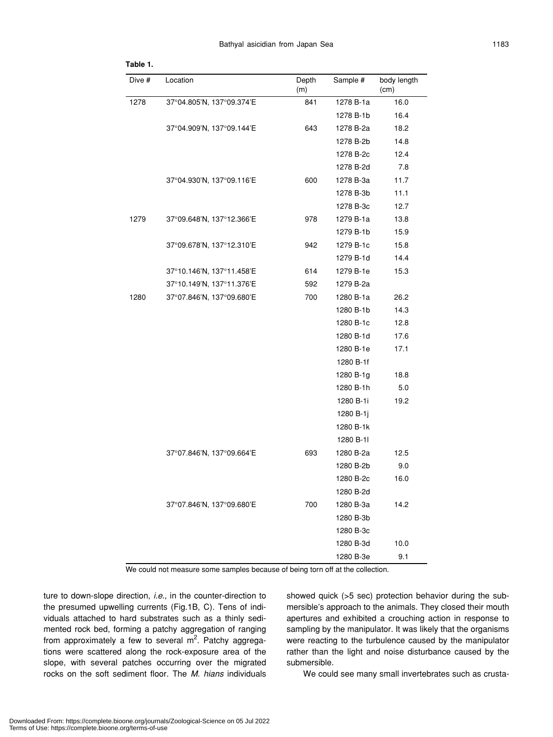| Dive # | Location                  | Depth<br>(m) | Sample #  | body length<br>(cm) |
|--------|---------------------------|--------------|-----------|---------------------|
| 1278   | 37°04.805'N, 137°09.374'E | 841          | 1278 B-1a | 16.0                |
|        |                           |              | 1278 B-1b | 16.4                |
|        | 37°04.909'N, 137°09.144'E | 643          | 1278 B-2a | 18.2                |
|        |                           |              | 1278 B-2b | 14.8                |
|        |                           |              | 1278 B-2c | 12.4                |
|        |                           |              | 1278 B-2d | 7.8                 |
|        | 37°04.930'N, 137°09.116'E | 600          | 1278 B-3a | 11.7                |
|        |                           |              | 1278 B-3b | 11.1                |
|        |                           |              | 1278 B-3c | 12.7                |
| 1279   | 37°09.648'N, 137°12.366'E | 978          | 1279 B-1a | 13.8                |
|        |                           |              | 1279 B-1b | 15.9                |
|        | 37°09.678'N, 137°12.310'E | 942          | 1279 B-1c | 15.8                |
|        |                           |              | 1279 B-1d | 14.4                |
|        | 37°10.146'N, 137°11.458'E | 614          | 1279 B-1e | 15.3                |
|        | 37°10.149'N, 137°11.376'E | 592          | 1279 B-2a |                     |
| 1280   | 37°07.846'N, 137°09.680'E | 700          | 1280 B-1a | 26.2                |
|        |                           |              | 1280 B-1b | 14.3                |
|        |                           |              | 1280 B-1c | 12.8                |
|        |                           |              | 1280 B-1d | 17.6                |
|        |                           |              | 1280 B-1e | 17.1                |
|        |                           |              | 1280 B-1f |                     |
|        |                           |              | 1280 B-1g | 18.8                |
|        |                           |              | 1280 B-1h | 5.0                 |
|        |                           |              | 1280 B-1i | 19.2                |
|        |                           |              | 1280 B-1j |                     |
|        |                           |              | 1280 B-1k |                     |
|        |                           |              | 1280 B-11 |                     |
|        | 37°07.846'N, 137°09.664'E | 693          | 1280 B-2a | 12.5                |
|        |                           |              | 1280 B-2b | 9.0                 |
|        |                           |              | 1280 B-2c | 16.0                |
|        |                           |              | 1280 B-2d |                     |
|        | 37°07.846'N, 137°09.680'E | 700          | 1280 B-3a | 14.2                |
|        |                           |              | 1280 B-3b |                     |
|        |                           |              | 1280 B-3c |                     |
|        |                           |              | 1280 B-3d | 10.0                |
|        |                           |              | 1280 B-3e | 9.1                 |

#### **Table 1.**

We could not measure some samples because of being torn off at the collection.

ture to down-slope direction, *i.e.*, in the counter-direction to the presumed upwelling currents (Fig.1B, C). Tens of individuals attached to hard substrates such as a thinly sedimented rock bed, forming a patchy aggregation of ranging from approximately a few to several m<sup>2</sup>. Patchy aggregations were scattered along the rock-exposure area of the slope, with several patches occurring over the migrated rocks on the soft sediment floor. The *M. hians* individuals showed quick (>5 sec) protection behavior during the submersible's approach to the animals. They closed their mouth apertures and exhibited a crouching action in response to sampling by the manipulator. It was likely that the organisms were reacting to the turbulence caused by the manipulator rather than the light and noise disturbance caused by the submersible.

We could see many small invertebrates such as crusta-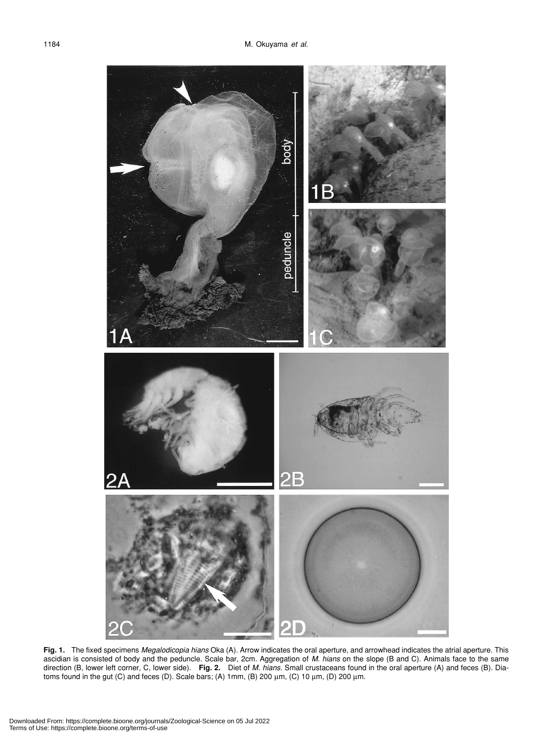

**Fig. 1.** The fixed specimens *Megalodicopia hians* Oka (A). Arrow indicates the oral aperture, and arrowhead indicates the atrial aperture. This ascidian is consisted of body and the peduncle. Scale bar, 2cm. Aggregation of *M. hians* on the slope (B and C). Animals face to the same direction (B, lower left corner, C, lower side). **Fig. 2.** Diet of *M. hians*. Small crustaceans found in the oral aperture (A) and feces (B). Diatoms found in the gut (C) and feces (D). Scale bars; (A) 1mm, (B) 200 µm, (C) 10 µm, (D) 200 µm.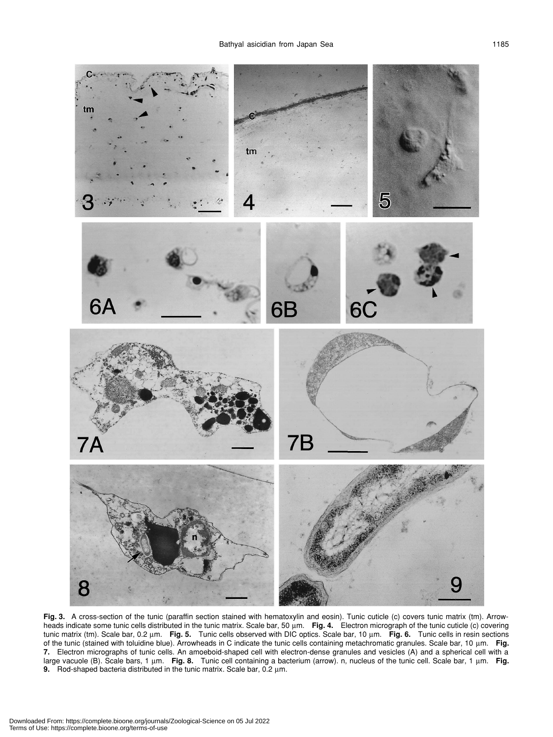

Fig. 3. A cross-section of the tunic (paraffin section stained with hematoxylin and eosin). Tunic cuticle (c) covers tunic matrix (tm). Arrowheads indicate some tunic cells distributed in the tunic matrix. Scale bar, 50 um. Fig. 4. Electron micrograph of the tunic cuticle (c) covering tunic matrix (tm). Scale bar, 0.2 µm. **Fig. 5.** Tunic cells observed with DIC optics. Scale bar, 10 µm. **Fig. 6.** Tunic cells in resin sections of the tunic (stained with toluidine blue). Arrowheads in C indicate the tunic cells containing metachromatic granules. Scale bar, 10 µm. **Fig. 7.** Electron micrographs of tunic cells. An amoeboid-shaped cell with electron-dense granules and vesicles (A) and a spherical cell with a large vacuole (B). Scale bars, 1 µm. **Fig. 8.** Tunic cell containing a bacterium (arrow). n, nucleus of the tunic cell. Scale bar, 1 µm. **Fig. 9.** Rod-shaped bacteria distributed in the tunic matrix. Scale bar, 0.2 µm.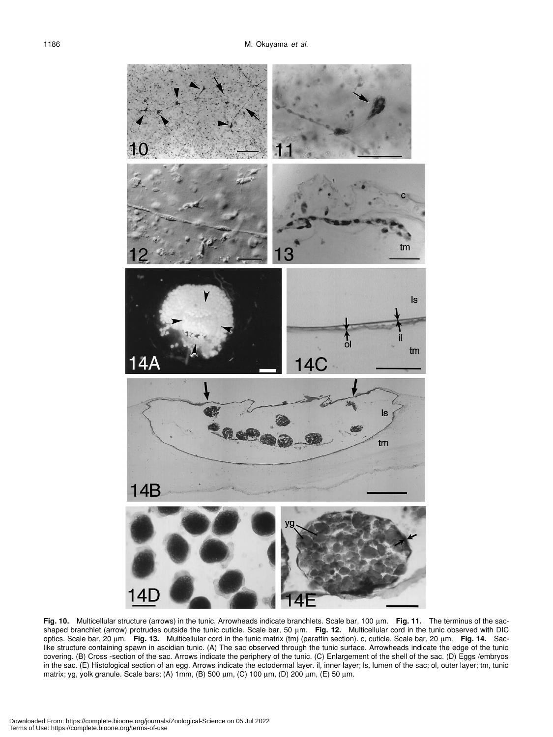

**Fig. 10.** Multicellular structure (arrows) in the tunic. Arrowheads indicate branchlets. Scale bar, 100 µm. **Fig. 11.** The terminus of the sacshaped branchlet (arrow) protrudes outside the tunic cuticle. Scale bar, 50 µm. Fig. 12. Multicellular cord in the tunic observed with DIC optics. Scale bar, 20 µm. **Fig. 13.** Multicellular cord in the tunic matrix (tm) (paraffin section). c, cuticle. Scale bar, 20 µm. **Fig. 14.** Saclike structure containing spawn in ascidian tunic. (A) The sac observed through the tunic surface. Arrowheads indicate the edge of the tunic covering. (B) Cross -section of the sac. Arrows indicate the periphery of the tunic. (C) Enlargement of the shell of the sac. (D) Eggs /embryos in the sac. (E) Histological section of an egg. Arrows indicate the ectodermal layer. il, inner layer; ls, lumen of the sac; ol, outer layer; tm, tunic matrix; yg, yolk granule. Scale bars; (A) 1mm, (B) 500 µm, (C) 100 µm, (D) 200 µm, (E) 50 µm.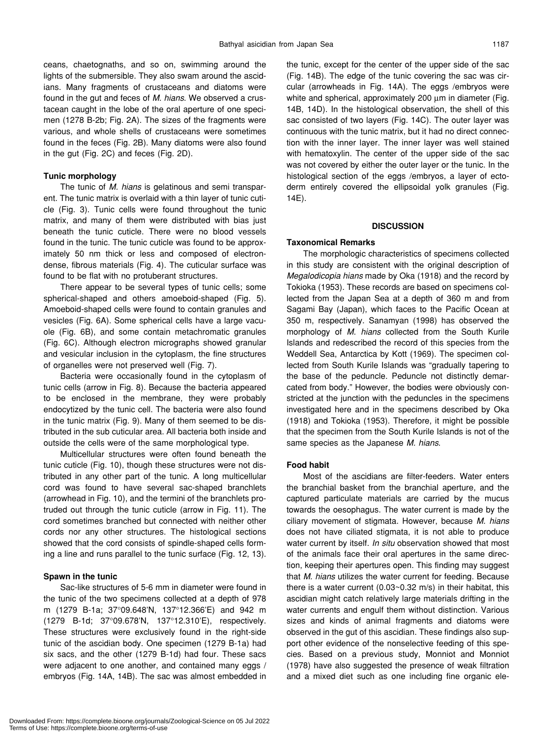ceans, chaetognaths, and so on, swimming around the lights of the submersible. They also swam around the ascidians. Many fragments of crustaceans and diatoms were found in the gut and feces of *M. hians*. We observed a crustacean caught in the lobe of the oral aperture of one specimen (1278 B-2b; Fig. 2A). The sizes of the fragments were various, and whole shells of crustaceans were sometimes found in the feces (Fig. 2B). Many diatoms were also found in the gut (Fig. 2C) and feces (Fig. 2D).

# **Tunic morphology**

The tunic of *M. hians* is gelatinous and semi transparent. The tunic matrix is overlaid with a thin layer of tunic cuticle (Fig. 3). Tunic cells were found throughout the tunic matrix, and many of them were distributed with bias just beneath the tunic cuticle. There were no blood vessels found in the tunic. The tunic cuticle was found to be approximately 50 nm thick or less and composed of electrondense, fibrous materials (Fig. 4). The cuticular surface was found to be flat with no protuberant structures.

There appear to be several types of tunic cells; some spherical-shaped and others amoeboid-shaped (Fig. 5). Amoeboid-shaped cells were found to contain granules and vesicles (Fig. 6A). Some spherical cells have a large vacuole (Fig. 6B), and some contain metachromatic granules (Fig. 6C). Although electron micrographs showed granular and vesicular inclusion in the cytoplasm, the fine structures of organelles were not preserved well (Fig. 7).

Bacteria were occasionally found in the cytoplasm of tunic cells (arrow in Fig. 8). Because the bacteria appeared to be enclosed in the membrane, they were probably endocytized by the tunic cell. The bacteria were also found in the tunic matrix (Fig. 9). Many of them seemed to be distributed in the sub cuticular area. All bacteria both inside and outside the cells were of the same morphological type.

Multicellular structures were often found beneath the tunic cuticle (Fig. 10), though these structures were not distributed in any other part of the tunic. A long multicellular cord was found to have several sac-shaped branchlets (arrowhead in Fig. 10), and the termini of the branchlets protruded out through the tunic cuticle (arrow in Fig. 11). The cord sometimes branched but connected with neither other cords nor any other structures. The histological sections showed that the cord consists of spindle-shaped cells forming a line and runs parallel to the tunic surface (Fig. 12, 13).

### **Spawn in the tunic**

Sac-like structures of 5-6 mm in diameter were found in the tunic of the two specimens collected at a depth of 978 m (1279 B-1a; 37°09.648'N, 137°12.366'E) and 942 m (1279 B-1d; 37°09.678'N, 137°12.310'E), respectively. These structures were exclusively found in the right-side tunic of the ascidian body. One specimen (1279 B-1a) had six sacs, and the other (1279 B-1d) had four. These sacs were adjacent to one another, and contained many eggs / embryos (Fig. 14A, 14B). The sac was almost embedded in the tunic, except for the center of the upper side of the sac (Fig. 14B). The edge of the tunic covering the sac was circular (arrowheads in Fig. 14A). The eggs /embryos were white and spherical, approximately 200  $\mu$ m in diameter (Fig. 14B, 14D). In the histological observation, the shell of this sac consisted of two layers (Fig. 14C). The outer layer was continuous with the tunic matrix, but it had no direct connection with the inner layer. The inner layer was well stained with hematoxylin. The center of the upper side of the sac was not covered by either the outer layer or the tunic. In the histological section of the eggs /embryos, a layer of ectoderm entirely covered the ellipsoidal yolk granules (Fig. 14E).

#### **DISCUSSION**

# **Taxonomical Remarks**

The morphologic characteristics of specimens collected in this study are consistent with the original description of *Megalodicopia hians* made by Oka (1918) and the record by Tokioka (1953). These records are based on specimens collected from the Japan Sea at a depth of 360 m and from Sagami Bay (Japan), which faces to the Pacific Ocean at 350 m, respectively. Sanamyan (1998) has observed the morphology of *M*. *hians* collected from the South Kurile Islands and redescribed the record of this species from the Weddell Sea, Antarctica by Kott (1969). The specimen collected from South Kurile Islands was "gradually tapering to the base of the peduncle. Peduncle not distinctly demarcated from body." However, the bodies were obviously constricted at the junction with the peduncles in the specimens investigated here and in the specimens described by Oka (1918) and Tokioka (1953). Therefore, it might be possible that the specimen from the South Kurile Islands is not of the same species as the Japanese *M. hians*.

### **Food habit**

Most of the ascidians are filter-feeders. Water enters the branchial basket from the branchial aperture, and the captured particulate materials are carried by the mucus towards the oesophagus. The water current is made by the ciliary movement of stigmata. However, because *M. hians* does not have ciliated stigmata, it is not able to produce water current by itself. *In situ* observation showed that most of the animals face their oral apertures in the same direction, keeping their apertures open. This finding may suggest that *M. hians* utilizes the water current for feeding. Because there is a water current (0.03~0.32 m/s) in their habitat, this ascidian might catch relatively large materials drifting in the water currents and engulf them without distinction. Various sizes and kinds of animal fragments and diatoms were observed in the gut of this ascidian. These findings also support other evidence of the nonselective feeding of this species. Based on a previous study, Monniot and Monniot (1978) have also suggested the presence of weak filtration and a mixed diet such as one including fine organic ele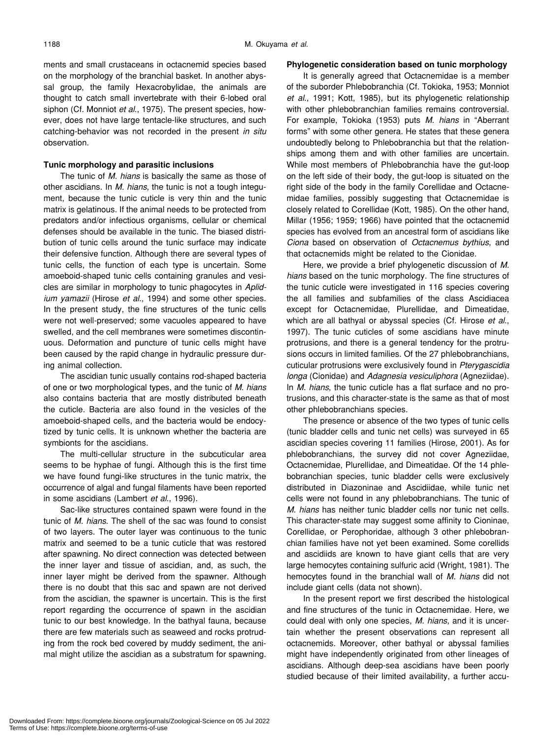ments and small crustaceans in octacnemid species based on the morphology of the branchial basket. In another abyssal group, the family Hexacrobylidae, the animals are thought to catch small invertebrate with their 6-lobed oral siphon (Cf. Monniot *et al*., 1975). The present species, however, does not have large tentacle-like structures, and such catching-behavior was not recorded in the present *in situ* observation.

# **Tunic morphology and parasitic inclusions**

The tunic of *M. hians* is basically the same as those of other ascidians. In *M. hians*, the tunic is not a tough integument, because the tunic cuticle is very thin and the tunic matrix is gelatinous. If the animal needs to be protected from predators and/or infectious organisms, cellular or chemical defenses should be available in the tunic. The biased distribution of tunic cells around the tunic surface may indicate their defensive function. Although there are several types of tunic cells, the function of each type is uncertain. Some amoeboid-shaped tunic cells containing granules and vesicles are similar in morphology to tunic phagocytes in *Aplidium yamazii* (Hirose *et al*., 1994) and some other species. In the present study, the fine structures of the tunic cells were not well-preserved; some vacuoles appeared to have swelled, and the cell membranes were sometimes discontinuous. Deformation and puncture of tunic cells might have been caused by the rapid change in hydraulic pressure during animal collection.

The ascidian tunic usually contains rod-shaped bacteria of one or two morphological types, and the tunic of *M. hians* also contains bacteria that are mostly distributed beneath the cuticle. Bacteria are also found in the vesicles of the amoeboid-shaped cells, and the bacteria would be endocytized by tunic cells. It is unknown whether the bacteria are symbionts for the ascidians.

The multi-cellular structure in the subcuticular area seems to be hyphae of fungi. Although this is the first time we have found fungi-like structures in the tunic matrix, the occurrence of algal and fungal filaments have been reported in some ascidians (Lambert *et al*., 1996).

Sac-like structures contained spawn were found in the tunic of *M. hians*. The shell of the sac was found to consist of two layers. The outer layer was continuous to the tunic matrix and seemed to be a tunic cuticle that was restored after spawning. No direct connection was detected between the inner layer and tissue of ascidian, and, as such, the inner layer might be derived from the spawner. Although there is no doubt that this sac and spawn are not derived from the ascidian, the spawner is uncertain. This is the first report regarding the occurrence of spawn in the ascidian tunic to our best knowledge. In the bathyal fauna, because there are few materials such as seaweed and rocks protruding from the rock bed covered by muddy sediment, the animal might utilize the ascidian as a substratum for spawning.

# **Phylogenetic consideration based on tunic morphology**

It is generally agreed that Octacnemidae is a member of the suborder Phlebobranchia (Cf. Tokioka, 1953; Monniot *et al*., 1991; Kott, 1985), but its phylogenetic relationship with other phlebobranchian families remains controversial. For example, Tokioka (1953) puts *M. hians* in "Aberrant forms" with some other genera. He states that these genera undoubtedly belong to Phlebobranchia but that the relationships among them and with other families are uncertain. While most members of Phlebobranchia have the gut-loop on the left side of their body, the gut-loop is situated on the right side of the body in the family Corellidae and Octacnemidae families, possibly suggesting that Octacnemidae is closely related to Corellidae (Kott, 1985). On the other hand, Millar (1956; 1959; 1966) have pointed that the octacnemid species has evolved from an ancestral form of ascidians like *Ciona* based on observation of *Octacnemus bythius*, and that octacnemids might be related to the Cionidae.

Here, we provide a brief phylogenetic discussion of *M. hians* based on the tunic morphology. The fine structures of the tunic cuticle were investigated in 116 species covering the all families and subfamilies of the class Ascidiacea except for Octacnemidae, Plurellidae, and Dimeatidae, which are all bathyal or abyssal species (Cf. Hirose *et al*., 1997). The tunic cuticles of some ascidians have minute protrusions, and there is a general tendency for the protrusions occurs in limited families. Of the 27 phlebobranchians, cuticular protrusions were exclusively found in *Pterygascidia longa* (Cionidae) and *Adagnesia vesiculiphora* (Agneziidae). In *M. hians*, the tunic cuticle has a flat surface and no protrusions, and this character-state is the same as that of most other phlebobranchians species.

The presence or absence of the two types of tunic cells (tunic bladder cells and tunic net cells) was surveyed in 65 ascidian species covering 11 families (Hirose, 2001). As for phlebobranchians, the survey did not cover Agneziidae, Octacnemidae, Plurellidae, and Dimeatidae. Of the 14 phlebobranchian species, tunic bladder cells were exclusively distributed in Diazoninae and Ascidiidae, while tunic net cells were not found in any phlebobranchians. The tunic of *M. hians* has neither tunic bladder cells nor tunic net cells. This character-state may suggest some affinity to Cioninae, Corellidae, or Perophoridae, although 3 other phlebobranchian families have not yet been examined. Some corellids and ascidiids are known to have giant cells that are very large hemocytes containing sulfuric acid (Wright, 1981). The hemocytes found in the branchial wall of *M. hians* did not include giant cells (data not shown).

In the present report we first described the histological and fine structures of the tunic in Octacnemidae. Here, we could deal with only one species, *M. hians*, and it is uncertain whether the present observations can represent all octacnemids. Moreover, other bathyal or abyssal families might have independently originated from other lineages of ascidians. Although deep-sea ascidians have been poorly studied because of their limited availability, a further accu-